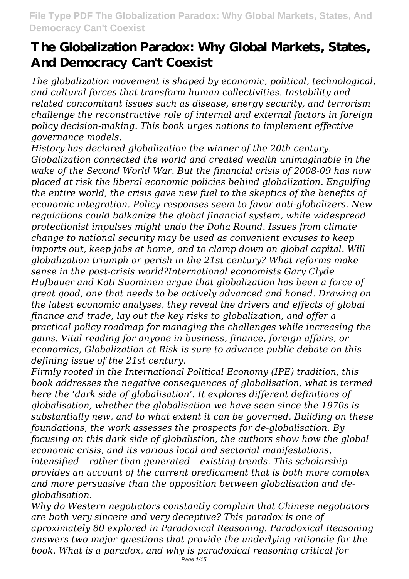*The globalization movement is shaped by economic, political, technological, and cultural forces that transform human collectivities. Instability and related concomitant issues such as disease, energy security, and terrorism challenge the reconstructive role of internal and external factors in foreign policy decision-making. This book urges nations to implement effective governance models.*

*History has declared globalization the winner of the 20th century. Globalization connected the world and created wealth unimaginable in the wake of the Second World War. But the financial crisis of 2008-09 has now placed at risk the liberal economic policies behind globalization. Engulfing the entire world, the crisis gave new fuel to the skeptics of the benefits of economic integration. Policy responses seem to favor anti-globalizers. New regulations could balkanize the global financial system, while widespread protectionist impulses might undo the Doha Round. Issues from climate change to national security may be used as convenient excuses to keep imports out, keep jobs at home, and to clamp down on global capital. Will globalization triumph or perish in the 21st century? What reforms make sense in the post-crisis world?International economists Gary Clyde Hufbauer and Kati Suominen argue that globalization has been a force of great good, one that needs to be actively advanced and honed. Drawing on the latest economic analyses, they reveal the drivers and effects of global finance and trade, lay out the key risks to globalization, and offer a practical policy roadmap for managing the challenges while increasing the gains. Vital reading for anyone in business, finance, foreign affairs, or economics, Globalization at Risk is sure to advance public debate on this defining issue of the 21st century.*

*Firmly rooted in the International Political Economy (IPE) tradition, this book addresses the negative consequences of globalisation, what is termed here the 'dark side of globalisation'. It explores different definitions of globalisation, whether the globalisation we have seen since the 1970s is substantially new, and to what extent it can be governed. Building on these foundations, the work assesses the prospects for de-globalisation. By focusing on this dark side of globalistion, the authors show how the global economic crisis, and its various local and sectorial manifestations, intensified – rather than generated – existing trends. This scholarship provides an account of the current predicament that is both more complex and more persuasive than the opposition between globalisation and deglobalisation.*

*Why do Western negotiators constantly complain that Chinese negotiators are both very sincere and very deceptive? This paradox is one of aproximately 80 explored in Paradoxical Reasoning. Paradoxical Reasoning answers two major questions that provide the underlying rationale for the book. What is a paradox, and why is paradoxical reasoning critical for*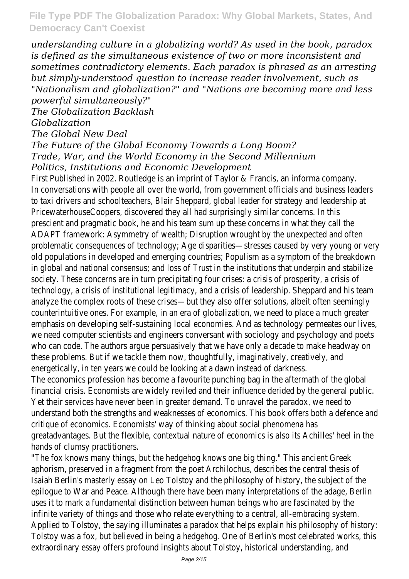*understanding culture in a globalizing world? As used in the book, paradox is defined as the simultaneous existence of two or more inconsistent and sometimes contradictory elements. Each paradox is phrased as an arresting but simply-understood question to increase reader involvement, such as "Nationalism and globalization?" and "Nations are becoming more and less powerful simultaneously?"*

*The Globalization Backlash*

*Globalization*

*The Global New Deal*

### *The Future of the Global Economy Towards a Long Boom? Trade, War, and the World Economy in the Second Millennium Politics, Institutions and Economic Development*

First Published in 2002. Routledge is an imprint of Taylor & Francis, an informa company. In conversations with people all over the world, from government officials and business leaders to taxi drivers and schoolteachers, Blair Sheppard, global leader for strategy and leadership at PricewaterhouseCoopers, discovered they all had surprisingly similar concerns. In this prescient and pragmatic book, he and his team sum up these concerns in what they call the ADAPT framework: Asymmetry of wealth; Disruption wrought by the unexpected and often problematic consequences of technology; Age disparities—stresses caused by very young or very old populations in developed and emerging countries; Populism as a symptom of the breakdown in global and national consensus; and loss of Trust in the institutions that underpin and stabilize society. These concerns are in turn precipitating four crises: a crisis of prosperity, a crisis of technology, a crisis of institutional legitimacy, and a crisis of leadership. Sheppard and his team analyze the complex roots of these crises—but they also offer solutions, albeit often seemingly counterintuitive ones. For example, in an era of globalization, we need to place a much greater emphasis on developing self-sustaining local economies. And as technology permeates our lives, we need computer scientists and engineers conversant with sociology and psychology and poets who can code. The authors argue persuasively that we have only a decade to make headway on these problems. But if we tackle them now, thoughtfully, imaginatively, creatively, and energetically, in ten years we could be looking at a dawn instead of darkness.

The economics profession has become a favourite punching bag in the aftermath of the global financial crisis. Economists are widely reviled and their influence derided by the general public. Yet their services have never been in greater demand. To unravel the paradox, we need to understand both the strengths and weaknesses of economics. This book offers both a defence and critique of economics. Economists' way of thinking about social phenomena has greatadvantages. But the flexible, contextual nature of economics is also its Achilles' heel in the hands of clumsy practitioners.

"The fox knows many things, but the hedgehog knows one big thing." This ancient Greek aphorism, preserved in a fragment from the poet Archilochus, describes the central thesis of Isaiah Berlin's masterly essay on Leo Tolstoy and the philosophy of history, the subject of the epilogue to War and Peace. Although there have been many interpretations of the adage, Berlin uses it to mark a fundamental distinction between human beings who are fascinated by the infinite variety of things and those who relate everything to a central, all-embracing system. Applied to Tolstoy, the saying illuminates a paradox that helps explain his philosophy of history: Tolstoy was a fox, but believed in being a hedgehog. One of Berlin's most celebrated works, this extraordinary essay offers profound insights about Tolstoy, historical understanding, and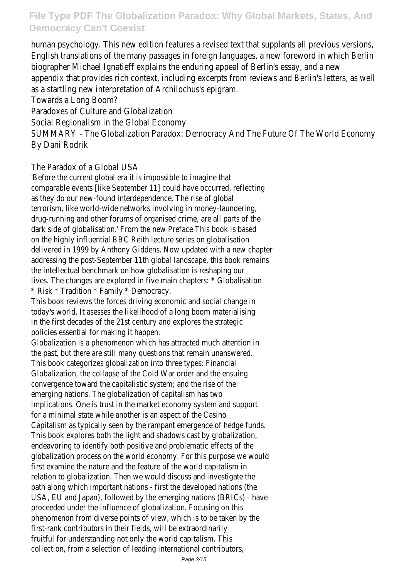human psychology. This new edition features a revised text that supplants all previous versions, English translations of the many passages in foreign languages, a new foreword in which Berlin biographer Michael Ignatieff explains the enduring appeal of Berlin's essay, and a new appendix that provides rich context, including excerpts from reviews and Berlin's letters, as well as a startling new interpretation of Archilochus's epigram.

Towards a Long Boom?

Paradoxes of Culture and Globalization

Social Regionalism in the Global Economy

SUMMARY - The Globalization Paradox: Democracy And The Future Of The World Economy By Dani Rodrik

### The Paradox of a Global USA

'Before the current global era it is impossible to imagine that comparable events [like September 11] could have occurred, reflecting as they do our new-found interdependence. The rise of global terrorism, like world-wide networks involving in money-laundering, drug-running and other forums of organised crime, are all parts of the dark side of globalisation.' From the new Preface This book is based on the highly influential BBC Reith lecture series on globalisation delivered in 1999 by Anthony Giddens. Now updated with a new chapter addressing the post-September 11th global landscape, this book remains the intellectual benchmark on how globalisation is reshaping our lives. The changes are explored in five main chapters: \* Globalisation \* Risk \* Tradition \* Family \* Democracy.

This book reviews the forces driving economic and social change in today's world. It asesses the likelihood of a long boom materialising in the first decades of the 21st century and explores the strategic policies essential for making it happen.

Globalization is a phenomenon which has attracted much attention in the past, but there are still many questions that remain unanswered. This book categorizes globalization into three types: Financial Globalization, the collapse of the Cold War order and the ensuing convergence toward the capitalistic system; and the rise of the emerging nations. The globalization of capitalism has two implications. One is trust in the market economy system and support for a minimal state while another is an aspect of the Casino Capitalism as typically seen by the rampant emergence of hedge funds. This book explores both the light and shadows cast by globalization, endeavoring to identify both positive and problematic effects of the globalization process on the world economy. For this purpose we would first examine the nature and the feature of the world capitalism in relation to globalization. Then we would discuss and investigate the path along which important nations - first the developed nations (the USA, EU and Japan), followed by the emerging nations (BRICs) - have proceeded under the influence of globalization. Focusing on this phenomenon from diverse points of view, which is to be taken by the first-rank contributors in their fields, will be extraordinarily fruitful for understanding not only the world capitalism. This collection, from a selection of leading international contributors,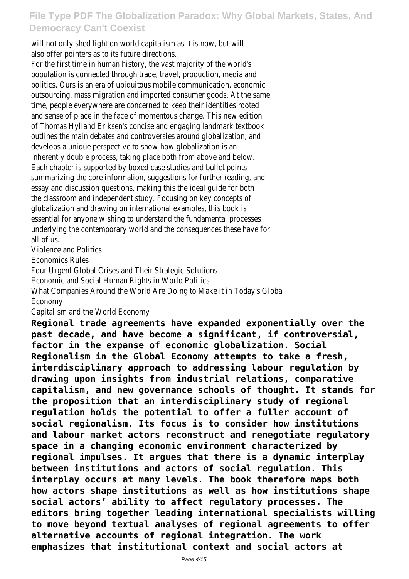will not only shed light on world capitalism as it is now, but will also offer pointers as to its future directions.

For the first time in human history, the vast majority of the world's population is connected through trade, travel, production, media and politics. Ours is an era of ubiquitous mobile communication, economic outsourcing, mass migration and imported consumer goods. At the same time, people everywhere are concerned to keep their identities rooted and sense of place in the face of momentous change. This new edition of Thomas Hylland Eriksen's concise and engaging landmark textbook outlines the main debates and controversies around globalization, and develops a unique perspective to show how globalization is an inherently double process, taking place both from above and below. Each chapter is supported by boxed case studies and bullet points summarizing the core information, suggestions for further reading, and essay and discussion questions, making this the ideal guide for both the classroom and independent study. Focusing on key concepts of globalization and drawing on international examples, this book is essential for anyone wishing to understand the fundamental processes underlying the contemporary world and the consequences these have for all of us.

Violence and Politics

Economics Rules

Four Urgent Global Crises and Their Strategic Solutions

Economic and Social Human Rights in World Politics

What Companies Around the World Are Doing to Make it in Today's Global Economy

Capitalism and the World Economy

**Regional trade agreements have expanded exponentially over the past decade, and have become a significant, if controversial, factor in the expanse of economic globalization. Social Regionalism in the Global Economy attempts to take a fresh, interdisciplinary approach to addressing labour regulation by drawing upon insights from industrial relations, comparative capitalism, and new governance schools of thought. It stands for the proposition that an interdisciplinary study of regional regulation holds the potential to offer a fuller account of social regionalism. Its focus is to consider how institutions and labour market actors reconstruct and renegotiate regulatory space in a changing economic environment characterized by regional impulses. It argues that there is a dynamic interplay between institutions and actors of social regulation. This interplay occurs at many levels. The book therefore maps both how actors shape institutions as well as how institutions shape social actors' ability to affect regulatory processes. The editors bring together leading international specialists willing to move beyond textual analyses of regional agreements to offer alternative accounts of regional integration. The work emphasizes that institutional context and social actors at**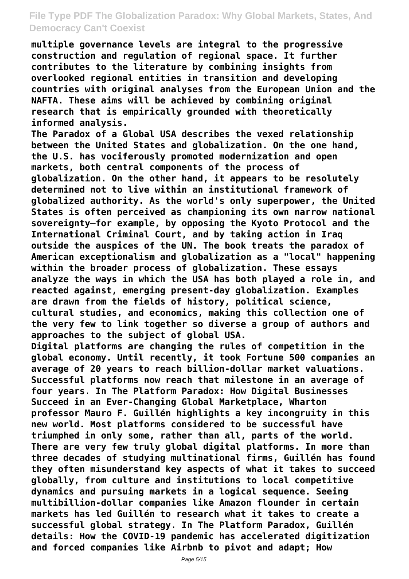**multiple governance levels are integral to the progressive construction and regulation of regional space. It further contributes to the literature by combining insights from overlooked regional entities in transition and developing countries with original analyses from the European Union and the NAFTA. These aims will be achieved by combining original research that is empirically grounded with theoretically informed analysis.**

**The Paradox of a Global USA describes the vexed relationship between the United States and globalization. On the one hand, the U.S. has vociferously promoted modernization and open markets, both central components of the process of globalization. On the other hand, it appears to be resolutely determined not to live within an institutional framework of globalized authority. As the world's only superpower, the United States is often perceived as championing its own narrow national sovereignty—for example, by opposing the Kyoto Protocol and the International Criminal Court, and by taking action in Iraq outside the auspices of the UN. The book treats the paradox of American exceptionalism and globalization as a "local" happening within the broader process of globalization. These essays analyze the ways in which the USA has both played a role in, and reacted against, emerging present-day globalization. Examples are drawn from the fields of history, political science, cultural studies, and economics, making this collection one of the very few to link together so diverse a group of authors and approaches to the subject of global USA.**

**Digital platforms are changing the rules of competition in the global economy. Until recently, it took Fortune 500 companies an average of 20 years to reach billion-dollar market valuations. Successful platforms now reach that milestone in an average of four years. In The Platform Paradox: How Digital Businesses Succeed in an Ever-Changing Global Marketplace, Wharton professor Mauro F. Guillén highlights a key incongruity in this new world. Most platforms considered to be successful have triumphed in only some, rather than all, parts of the world. There are very few truly global digital platforms. In more than three decades of studying multinational firms, Guillén has found they often misunderstand key aspects of what it takes to succeed globally, from culture and institutions to local competitive dynamics and pursuing markets in a logical sequence. Seeing multibillion-dollar companies like Amazon flounder in certain markets has led Guillén to research what it takes to create a successful global strategy. In The Platform Paradox, Guillén details: How the COVID-19 pandemic has accelerated digitization and forced companies like Airbnb to pivot and adapt; How**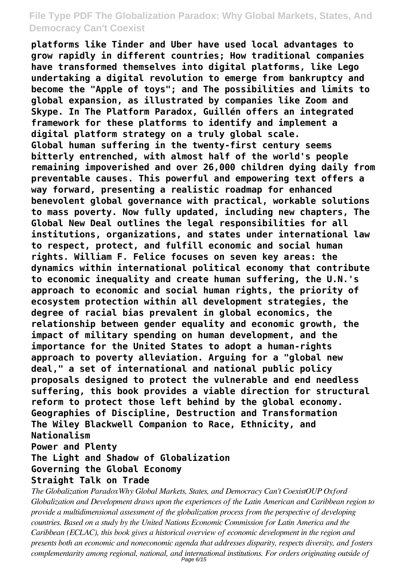**platforms like Tinder and Uber have used local advantages to grow rapidly in different countries; How traditional companies have transformed themselves into digital platforms, like Lego undertaking a digital revolution to emerge from bankruptcy and become the "Apple of toys"; and The possibilities and limits to global expansion, as illustrated by companies like Zoom and Skype. In The Platform Paradox, Guillén offers an integrated framework for these platforms to identify and implement a digital platform strategy on a truly global scale. Global human suffering in the twenty-first century seems bitterly entrenched, with almost half of the world's people remaining impoverished and over 26,000 children dying daily from preventable causes. This powerful and empowering text offers a way forward, presenting a realistic roadmap for enhanced benevolent global governance with practical, workable solutions to mass poverty. Now fully updated, including new chapters, The Global New Deal outlines the legal responsibilities for all institutions, organizations, and states under international law to respect, protect, and fulfill economic and social human rights. William F. Felice focuses on seven key areas: the dynamics within international political economy that contribute to economic inequality and create human suffering, the U.N.'s approach to economic and social human rights, the priority of ecosystem protection within all development strategies, the degree of racial bias prevalent in global economics, the relationship between gender equality and economic growth, the impact of military spending on human development, and the importance for the United States to adopt a human-rights approach to poverty alleviation. Arguing for a "global new deal," a set of international and national public policy proposals designed to protect the vulnerable and end needless suffering, this book provides a viable direction for structural reform to protect those left behind by the global economy. Geographies of Discipline, Destruction and Transformation The Wiley Blackwell Companion to Race, Ethnicity, and Nationalism**

**Power and Plenty**

### **The Light and Shadow of Globalization**

#### **Governing the Global Economy**

#### **Straight Talk on Trade**

*The Globalization ParadoxWhy Global Markets, States, and Democracy Can't CoexistOUP Oxford Globalization and Development draws upon the experiences of the Latin American and Caribbean region to provide a multidimensional assessment of the globalization process from the perspective of developing countries. Based on a study by the United Nations Economic Commission for Latin America and the Caribbean (ECLAC), this book gives a historical overview of economic development in the region and presents both an economic and noneconomic agenda that addresses disparity, respects diversity, and fosters complementarity among regional, national, and international institutions. For orders originating outside of* Page 6/15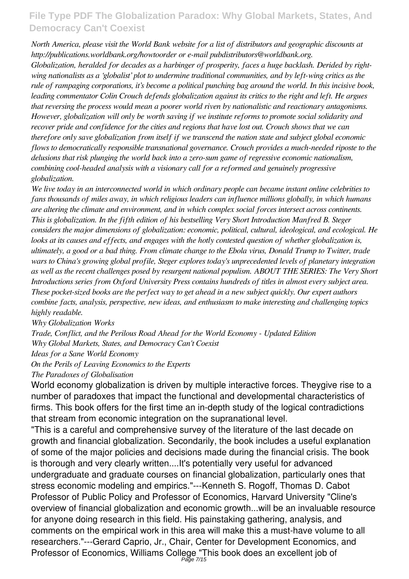*North America, please visit the World Bank website for a list of distributors and geographic discounts at http://publications.worldbank.org/howtoorder or e-mail pubdistributors@worldbank.org.*

*Globalization, heralded for decades as a harbinger of prosperity, faces a huge backlash. Derided by rightwing nationalists as a 'globalist' plot to undermine traditional communities, and by left-wing critics as the rule of rampaging corporations, it's become a political punching bag around the world. In this incisive book, leading commentator Colin Crouch defends globalization against its critics to the right and left. He argues that reversing the process would mean a poorer world riven by nationalistic and reactionary antagonisms. However, globalization will only be worth saving if we institute reforms to promote social solidarity and recover pride and confidence for the cities and regions that have lost out. Crouch shows that we can therefore only save globalization from itself if we transcend the nation state and subject global economic flows to democratically responsible transnational governance. Crouch provides a much-needed riposte to the delusions that risk plunging the world back into a zero-sum game of regressive economic nationalism, combining cool-headed analysis with a visionary call for a reformed and genuinely progressive globalization.*

*We live today in an interconnected world in which ordinary people can became instant online celebrities to fans thousands of miles away, in which religious leaders can influence millions globally, in which humans are altering the climate and environment, and in which complex social forces intersect across continents. This is globalization. In the fifth edition of his bestselling Very Short Introduction Manfred B. Steger considers the major dimensions of globalization: economic, political, cultural, ideological, and ecological. He looks at its causes and effects, and engages with the hotly contested question of whether globalization is, ultimately, a good or a bad thing. From climate change to the Ebola virus, Donald Trump to Twitter, trade wars to China's growing global profile, Steger explores today's unprecedented levels of planetary integration as well as the recent challenges posed by resurgent national populism. ABOUT THE SERIES: The Very Short Introductions series from Oxford University Press contains hundreds of titles in almost every subject area. These pocket-sized books are the perfect way to get ahead in a new subject quickly. Our expert authors combine facts, analysis, perspective, new ideas, and enthusiasm to make interesting and challenging topics highly readable.*

*Why Globalization Works*

*Trade, Conflict, and the Perilous Road Ahead for the World Economy - Updated Edition Why Global Markets, States, and Democracy Can't Coexist*

*Ideas for a Sane World Economy*

*On the Perils of Leaving Economics to the Experts*

*The Paradoxes of Globalisation*

World economy globalization is driven by multiple interactive forces. Theygive rise to a number of paradoxes that impact the functional and developmental characteristics of firms. This book offers for the first time an in-depth study of the logical contradictions that stream from economic integration on the supranational level.

"This is a careful and comprehensive survey of the literature of the last decade on growth and financial globalization. Secondarily, the book includes a useful explanation of some of the major policies and decisions made during the financial crisis. The book is thorough and very clearly written....It's potentially very useful for advanced undergraduate and graduate courses on financial globalization, particularly ones that stress economic modeling and empirics."---Kenneth S. Rogoff, Thomas D. Cabot Professor of Public Policy and Professor of Economics, Harvard University "Cline's overview of financial globalization and economic growth...will be an invaluable resource for anyone doing research in this field. His painstaking gathering, analysis, and comments on the empirical work in this area will make this a must-have volume to all researchers."---Gerard Caprio, Jr., Chair, Center for Development Economics, and Professor of Economics, Williams College "This book does an excellent job of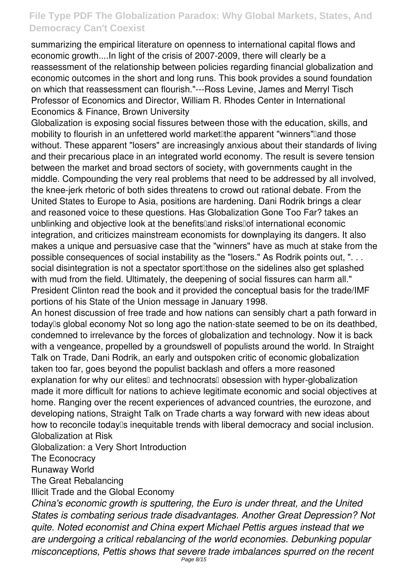summarizing the empirical literature on openness to international capital flows and economic growth....In light of the crisis of 2007-2009, there will clearly be a reassessment of the relationship between policies regarding financial globalization and economic outcomes in the short and long runs. This book provides a sound foundation on which that reassessment can flourish."---Ross Levine, James and Merryl Tisch Professor of Economics and Director, William R. Rhodes Center in International Economics & Finance, Brown University

Globalization is exposing social fissures between those with the education, skills, and mobility to flourish in an unfettered world market the apparent "winners" and those without. These apparent "losers" are increasingly anxious about their standards of living and their precarious place in an integrated world economy. The result is severe tension between the market and broad sectors of society, with governments caught in the middle. Compounding the very real problems that need to be addressed by all involved, the knee-jerk rhetoric of both sides threatens to crowd out rational debate. From the United States to Europe to Asia, positions are hardening. Dani Rodrik brings a clear and reasoned voice to these questions. Has Globalization Gone Too Far? takes an unblinking and objective look at the benefits<sup>[]</sup>and risks<sup>[]</sup>of international economic integration, and criticizes mainstream economists for downplaying its dangers. It also makes a unique and persuasive case that the "winners" have as much at stake from the possible consequences of social instability as the "losers." As Rodrik points out, ". . . social disintegration is not a spectator sportlithose on the sidelines also get splashed with mud from the field. Ultimately, the deepening of social fissures can harm all." President Clinton read the book and it provided the conceptual basis for the trade/IMF portions of his State of the Union message in January 1998.

An honest discussion of free trade and how nations can sensibly chart a path forward in today's global economy Not so long ago the nation-state seemed to be on its deathbed, condemned to irrelevance by the forces of globalization and technology. Now it is back with a vengeance, propelled by a groundswell of populists around the world. In Straight Talk on Trade, Dani Rodrik, an early and outspoken critic of economic globalization taken too far, goes beyond the populist backlash and offers a more reasoned explanation for why our elites<sup>[]</sup> and technocrats<sup>[]</sup> obsession with hyper-globalization made it more difficult for nations to achieve legitimate economic and social objectives at home. Ranging over the recent experiences of advanced countries, the eurozone, and developing nations, Straight Talk on Trade charts a way forward with new ideas about how to reconcile today<sup>[]</sup>s inequitable trends with liberal democracy and social inclusion. Globalization at Risk

Globalization: a Very Short Introduction

The Econocracy

Runaway World

The Great Rebalancing

Illicit Trade and the Global Economy

*China's economic growth is sputtering, the Euro is under threat, and the United States is combating serious trade disadvantages. Another Great Depression? Not quite. Noted economist and China expert Michael Pettis argues instead that we are undergoing a critical rebalancing of the world economies. Debunking popular misconceptions, Pettis shows that severe trade imbalances spurred on the recent*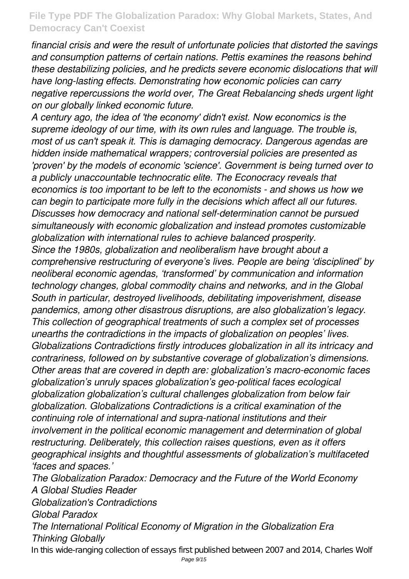*financial crisis and were the result of unfortunate policies that distorted the savings and consumption patterns of certain nations. Pettis examines the reasons behind these destabilizing policies, and he predicts severe economic dislocations that will have long-lasting effects. Demonstrating how economic policies can carry negative repercussions the world over, The Great Rebalancing sheds urgent light on our globally linked economic future.*

*A century ago, the idea of 'the economy' didn't exist. Now economics is the supreme ideology of our time, with its own rules and language. The trouble is, most of us can't speak it. This is damaging democracy. Dangerous agendas are hidden inside mathematical wrappers; controversial policies are presented as 'proven' by the models of economic 'science'. Government is being turned over to a publicly unaccountable technocratic elite. The Econocracy reveals that economics is too important to be left to the economists - and shows us how we can begin to participate more fully in the decisions which affect all our futures. Discusses how democracy and national self-determination cannot be pursued simultaneously with economic globalization and instead promotes customizable globalization with international rules to achieve balanced prosperity. Since the 1980s, globalization and neoliberalism have brought about a comprehensive restructuring of everyone's lives. People are being 'disciplined' by neoliberal economic agendas, 'transformed' by communication and information technology changes, global commodity chains and networks, and in the Global South in particular, destroyed livelihoods, debilitating impoverishment, disease pandemics, among other disastrous disruptions, are also globalization's legacy. This collection of geographical treatments of such a complex set of processes unearths the contradictions in the impacts of globalization on peoples' lives. Globalizations Contradictions firstly introduces globalization in all its intricacy and contrariness, followed on by substantive coverage of globalization's dimensions. Other areas that are covered in depth are: globalization's macro-economic faces globalization's unruly spaces globalization's geo-political faces ecological globalization globalization's cultural challenges globalization from below fair globalization. Globalizations Contradictions is a critical examination of the continuing role of international and supra-national institutions and their involvement in the political economic management and determination of global restructuring. Deliberately, this collection raises questions, even as it offers geographical insights and thoughtful assessments of globalization's multifaceted 'faces and spaces.'*

*The Globalization Paradox: Democracy and the Future of the World Economy A Global Studies Reader Globalization's Contradictions Global Paradox The International Political Economy of Migration in the Globalization Era Thinking Globally* In this wide-ranging collection of essays first published between 2007 and 2014, Charles Wolf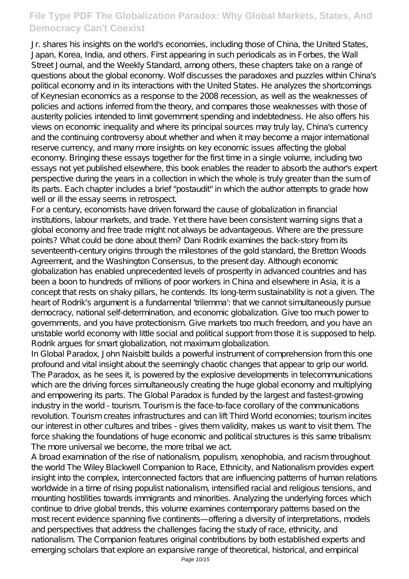Jr. shares his insights on the world's economies, including those of China, the United States, Japan, Korea, India, and others. First appearing in such periodicals as in Forbes, the Wall Street Journal, and the Weekly Standard, among others, these chapters take on a range of questions about the global economy. Wolf discusses the paradoxes and puzzles within China's political economy and in its interactions with the United States. He analyzes the shortcomings of Keynesian economics as a response to the 2008 recession, as well as the weaknesses of policies and actions inferred from the theory, and compares those weaknesses with those of austerity policies intended to limit government spending and indebtedness. He also offers his views on economic inequality and where its principal sources may truly lay, China's currency and the continuing controversy about whether and when it may become a major international reserve currency, and many more insights on key economic issues affecting the global economy. Bringing these essays together for the first time in a single volume, including two essays not yet published elsewhere, this book enables the reader to absorb the author's expert perspective during the years in a collection in which the whole is truly greater than the sum of its parts. Each chapter includes a brief "postaudit" in which the author attempts to grade how well or ill the essay seems in retrospect.

For a century, economists have driven forward the cause of globalization in financial institutions, labour markets, and trade. Yet there have been consistent warning signs that a global economy and free trade might not always be advantageous. Where are the pressure points? What could be done about them? Dani Rodrik examines the back-story from its seventeenth-century origins through the milestones of the gold standard, the Bretton Woods Agreement, and the Washington Consensus, to the present day. Although economic globalization has enabled unprecedented levels of prosperity in advanced countries and has been a boon to hundreds of millions of poor workers in China and elsewhere in Asia, it is a concept that rests on shaky pillars, he contends. Its long-term sustainability is not a given. The heart of Rodrik's argument is a fundamental 'trilemma': that we cannot simultaneously pursue democracy, national self-determination, and economic globalization. Give too much power to governments, and you have protectionism. Give markets too much freedom, and you have an unstable world economy with little social and political support from those it is supposed to help. Rodrik argues for smart globalization, not maximum globalization.

In Global Paradox, John Naisbitt builds a powerful instrument of comprehension from this one profound and vital insight about the seemingly chaotic changes that appear to grip our world. The Paradox, as he sees it, is powered by the explosive developments in telecommunications which are the driving forces simultaneously creating the huge global economy and multiplying and empowering its parts. The Global Paradox is funded by the largest and fastest-growing industry in the world - tourism. Tourism is the face-to-face corollary of the communications revolution. Tourism creates infrastructures and can lift Third World economies; tourism incites our interest in other cultures and tribes - gives them validity, makes us want to visit them. The force shaking the foundations of huge economic and political structures is this same tribalism: The more universal we become, the more tribal we act.

A broad examination of the rise of nationalism, populism, xenophobia, and racism throughout the world The Wiley Blackwell Companion to Race, Ethnicity, and Nationalism provides expert insight into the complex, interconnected factors that are influencing patterns of human relations worldwide in a time of rising populist nationalism, intensified racial and religious tensions, and mounting hostilities towards immigrants and minorities. Analyzing the underlying forces which continue to drive global trends, this volume examines contemporary patterns based on the most recent evidence spanning five continents—offering a diversity of interpretations, models and perspectives that address the challenges facing the study of race, ethnicity, and nationalism. The Companion features original contributions by both established experts and emerging scholars that explore an expansive range of theoretical, historical, and empirical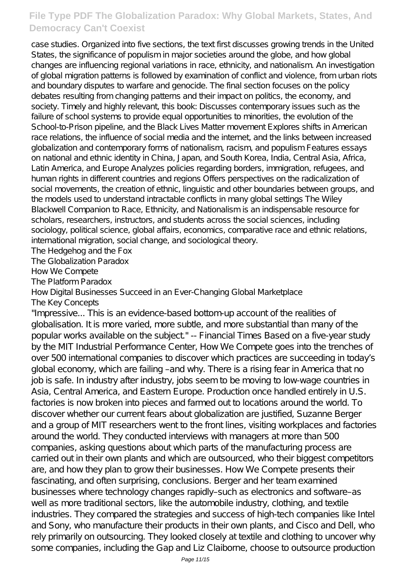case studies. Organized into five sections, the text first discusses growing trends in the United States, the significance of populism in major societies around the globe, and how global changes are influencing regional variations in race, ethnicity, and nationalism. An investigation of global migration patterns is followed by examination of conflict and violence, from urban riots and boundary disputes to warfare and genocide. The final section focuses on the policy debates resulting from changing patterns and their impact on politics, the economy, and society. Timely and highly relevant, this book: Discusses contemporary issues such as the failure of school systems to provide equal opportunities to minorities, the evolution of the School-to-Prison pipeline, and the Black Lives Matter movement Explores shifts in American race relations, the influence of social media and the internet, and the links between increased globalization and contemporary forms of nationalism, racism, and populism Features essays on national and ethnic identity in China, Japan, and South Korea, India, Central Asia, Africa, Latin America, and Europe Analyzes policies regarding borders, immigration, refugees, and human rights in different countries and regions Offers perspectives on the radicalization of social movements, the creation of ethnic, linguistic and other boundaries between groups, and the models used to understand intractable conflicts in many global settings The Wiley Blackwell Companion to Race, Ethnicity, and Nationalism is an indispensable resource for scholars, researchers, instructors, and students across the social sciences, including sociology, political science, global affairs, economics, comparative race and ethnic relations, international migration, social change, and sociological theory.

The Hedgehog and the Fox

The Globalization Paradox

How We Compete

The Platform Paradox

How Digital Businesses Succeed in an Ever-Changing Global Marketplace

The Key Concepts

"Impressive... This is an evidence-based bottom-up account of the realities of globalisation. It is more varied, more subtle, and more substantial than many of the popular works available on the subject." -- Financial Times Based on a five-year study by the MIT Industrial Performance Center, How We Compete goes into the trenches of over 500 international companies to discover which practices are succeeding in today's global economy, which are failing –and why. There is a rising fear in America that no job is safe. In industry after industry, jobs seem to be moving to low-wage countries in Asia, Central America, and Eastern Europe. Production once handled entirely in U.S. factories is now broken into pieces and farmed out to locations around the world. To discover whether our current fears about globalization are justified, Suzanne Berger and a group of MIT researchers went to the front lines, visiting workplaces and factories around the world. They conducted interviews with managers at more than 500 companies, asking questions about which parts of the manufacturing process are carried out in their own plants and which are outsourced, who their biggest competitors are, and how they plan to grow their businesses. How We Compete presents their fascinating, and often surprising, conclusions. Berger and her team examined businesses where technology changes rapidly–such as electronics and software–as well as more traditional sectors, like the automobile industry, clothing, and textile industries. They compared the strategies and success of high-tech companies like Intel and Sony, who manufacture their products in their own plants, and Cisco and Dell, who rely primarily on outsourcing. They looked closely at textile and clothing to uncover why some companies, including the Gap and Liz Claiborne, choose to outsource production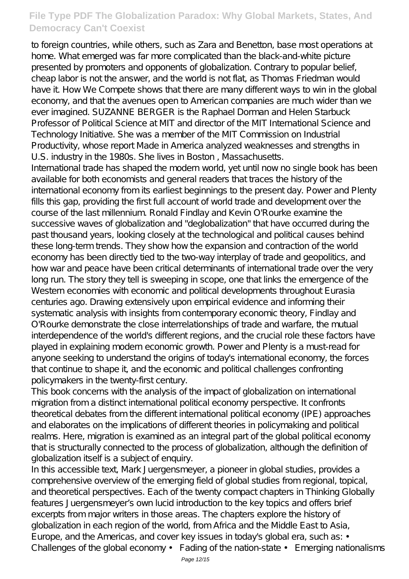to foreign countries, while others, such as Zara and Benetton, base most operations at home. What emerged was far more complicated than the black-and-white picture presented by promoters and opponents of globalization. Contrary to popular belief, cheap labor is not the answer, and the world is not flat, as Thomas Friedman would have it. How We Compete shows that there are many different ways to win in the global economy, and that the avenues open to American companies are much wider than we ever imagined. SUZANNE BERGER is the Raphael Dorman and Helen Starbuck Professor of Political Science at MIT and director of the MIT International Science and Technology Initiative. She was a member of the MIT Commission on Industrial Productivity, whose report Made in America analyzed weaknesses and strengths in U.S. industry in the 1980s. She lives in Boston , Massachusetts.

International trade has shaped the modern world, yet until now no single book has been available for both economists and general readers that traces the history of the international economy from its earliest beginnings to the present day. Power and Plenty fills this gap, providing the first full account of world trade and development over the course of the last millennium. Ronald Findlay and Kevin O'Rourke examine the successive waves of globalization and "deglobalization" that have occurred during the past thousand years, looking closely at the technological and political causes behind these long-term trends. They show how the expansion and contraction of the world economy has been directly tied to the two-way interplay of trade and geopolitics, and how war and peace have been critical determinants of international trade over the very long run. The story they tell is sweeping in scope, one that links the emergence of the Western economies with economic and political developments throughout Eurasia centuries ago. Drawing extensively upon empirical evidence and informing their systematic analysis with insights from contemporary economic theory, Findlay and O'Rourke demonstrate the close interrelationships of trade and warfare, the mutual interdependence of the world's different regions, and the crucial role these factors have played in explaining modern economic growth. Power and Plenty is a must-read for anyone seeking to understand the origins of today's international economy, the forces that continue to shape it, and the economic and political challenges confronting policymakers in the twenty-first century.

This book concerns with the analysis of the impact of globalization on international migration from a distinct international political economy perspective. It confronts theoretical debates from the different international political economy (IPE) approaches and elaborates on the implications of different theories in policymaking and political realms. Here, migration is examined as an integral part of the global political economy that is structurally connected to the process of globalization, although the definition of globalization itself is a subject of enquiry.

In this accessible text, Mark Juergensmeyer, a pioneer in global studies, provides a comprehensive overview of the emerging field of global studies from regional, topical, and theoretical perspectives. Each of the twenty compact chapters in Thinking Globally features Juergensmeyer's own lucid introduction to the key topics and offers brief excerpts from major writers in those areas. The chapters explore the history of globalization in each region of the world, from Africa and the Middle East to Asia, Europe, and the Americas, and cover key issues in today's global era, such as: • Challenges of the global economy • Fading of the nation-state • Emerging nationalisms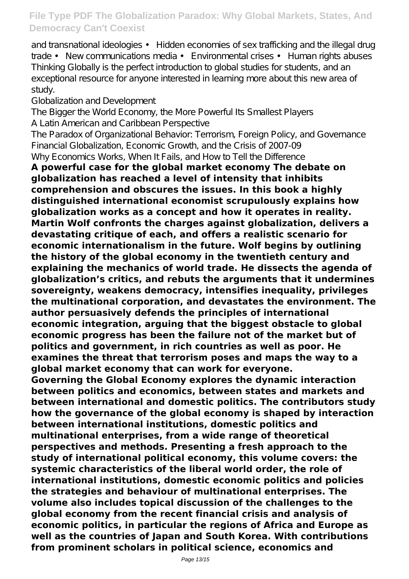and transnational ideologies • Hidden economies of sex trafficking and the illegal drug trade • New communications media • Environmental crises • Human rights abuses Thinking Globally is the perfect introduction to global studies for students, and an exceptional resource for anyone interested in learning more about this new area of study.

Globalization and Development

The Bigger the World Economy, the More Powerful Its Smallest Players A Latin American and Caribbean Perspective

The Paradox of Organizational Behavior: Terrorism, Foreign Policy, and Governance Financial Globalization, Economic Growth, and the Crisis of 2007-09

Why Economics Works, When It Fails, and How to Tell the Difference

**A powerful case for the global market economy The debate on globalization has reached a level of intensity that inhibits comprehension and obscures the issues. In this book a highly distinguished international economist scrupulously explains how globalization works as a concept and how it operates in reality. Martin Wolf confronts the charges against globalization, delivers a devastating critique of each, and offers a realistic scenario for economic internationalism in the future. Wolf begins by outlining the history of the global economy in the twentieth century and explaining the mechanics of world trade. He dissects the agenda of globalization's critics, and rebuts the arguments that it undermines sovereignty, weakens democracy, intensifies inequality, privileges the multinational corporation, and devastates the environment. The author persuasively defends the principles of international economic integration, arguing that the biggest obstacle to global economic progress has been the failure not of the market but of politics and government, in rich countries as well as poor. He examines the threat that terrorism poses and maps the way to a global market economy that can work for everyone.**

**Governing the Global Economy explores the dynamic interaction between politics and economics, between states and markets and between international and domestic politics. The contributors study how the governance of the global economy is shaped by interaction between international institutions, domestic politics and multinational enterprises, from a wide range of theoretical perspectives and methods. Presenting a fresh approach to the study of international political economy, this volume covers: the systemic characteristics of the liberal world order, the role of international institutions, domestic economic politics and policies the strategies and behaviour of multinational enterprises. The volume also includes topical discussion of the challenges to the global economy from the recent financial crisis and analysis of economic politics, in particular the regions of Africa and Europe as well as the countries of Japan and South Korea. With contributions from prominent scholars in political science, economics and**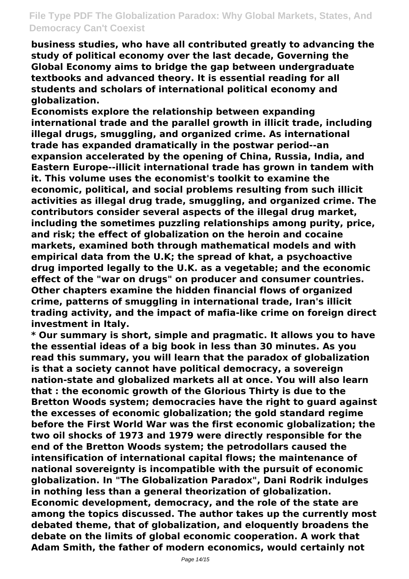**business studies, who have all contributed greatly to advancing the study of political economy over the last decade, Governing the Global Economy aims to bridge the gap between undergraduate textbooks and advanced theory. It is essential reading for all students and scholars of international political economy and globalization.**

**Economists explore the relationship between expanding international trade and the parallel growth in illicit trade, including illegal drugs, smuggling, and organized crime. As international trade has expanded dramatically in the postwar period--an expansion accelerated by the opening of China, Russia, India, and Eastern Europe--illicit international trade has grown in tandem with it. This volume uses the economist's toolkit to examine the economic, political, and social problems resulting from such illicit activities as illegal drug trade, smuggling, and organized crime. The contributors consider several aspects of the illegal drug market, including the sometimes puzzling relationships among purity, price, and risk; the effect of globalization on the heroin and cocaine markets, examined both through mathematical models and with empirical data from the U.K; the spread of khat, a psychoactive drug imported legally to the U.K. as a vegetable; and the economic effect of the "war on drugs" on producer and consumer countries. Other chapters examine the hidden financial flows of organized crime, patterns of smuggling in international trade, Iran's illicit trading activity, and the impact of mafia-like crime on foreign direct investment in Italy.**

**\* Our summary is short, simple and pragmatic. It allows you to have the essential ideas of a big book in less than 30 minutes. As you read this summary, you will learn that the paradox of globalization is that a society cannot have political democracy, a sovereign nation-state and globalized markets all at once. You will also learn that : the economic growth of the Glorious Thirty is due to the Bretton Woods system; democracies have the right to guard against the excesses of economic globalization; the gold standard regime before the First World War was the first economic globalization; the two oil shocks of 1973 and 1979 were directly responsible for the end of the Bretton Woods system; the petrodollars caused the intensification of international capital flows; the maintenance of national sovereignty is incompatible with the pursuit of economic globalization. In "The Globalization Paradox", Dani Rodrik indulges in nothing less than a general theorization of globalization. Economic development, democracy, and the role of the state are among the topics discussed. The author takes up the currently most debated theme, that of globalization, and eloquently broadens the debate on the limits of global economic cooperation. A work that Adam Smith, the father of modern economics, would certainly not**